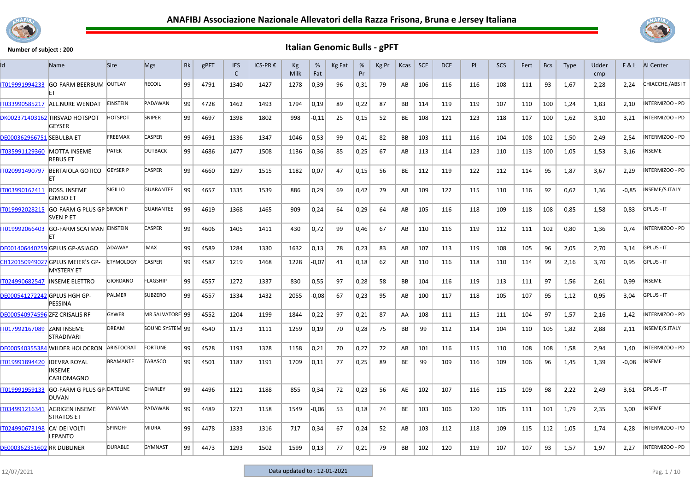



|                                       | Name                                                  | <b>Sire</b>       | <b>Mgs</b>       | Rk | gPFT | <b>IES</b><br>€ | ICS-PR € | Kg<br>Milk | %<br>Fat | Kg Fat | %<br>Pr | Kg Pr | Kcas      | SCE | DCE | <b>PL</b> | SCS | Fert | <b>Bcs</b> | <b>Type</b> | Udder<br>cmp | F&L     | Al Center              |
|---------------------------------------|-------------------------------------------------------|-------------------|------------------|----|------|-----------------|----------|------------|----------|--------|---------|-------|-----------|-----|-----|-----------|-----|------|------------|-------------|--------------|---------|------------------------|
| IT019991994233                        | GO-FARM BEERBUM OUTLAY                                |                   | RECOIL           | 99 | 4791 | 1340            | 1427     | 1278       | 0,39     | 96     | 0,31    | 79    | AB        | 106 | 116 | 116       | 108 | 111  | 93         | 1,67        | 2,28         | 2,24    | CHIACCHE./ABS IT       |
| IT033990585217                        | ALL.NURE WENDAT                                       | <b>EINSTEIN</b>   | PADAWAN          | 99 | 4728 | 1462            | 1493     | 1794       | 0,19     | 89     | 0,22    | 87    | BB        | 114 | 119 | 119       | 107 | 110  | 100        | 1,24        | 1,83         | 2,10    | INTERMIZOO - PD        |
|                                       | DK002371403162 TIRSVAD HOTSPOT<br><b>GEYSER</b>       | <b>HOTSPOT</b>    | SNIPER           | 99 | 4697 | 1398            | 1802     | 998        | $-0,11$  | 25     | 0,15    | 52    | BE        | 108 | 121 | 123       | 118 | 117  | 100        | 1,62        | 3,10         | 3,21    | INTERMIZOO - PD        |
| <b>DE000362966751 SEBULBA ET</b>      |                                                       | FREEMAX           | CASPER           | 99 | 4691 | 1336            | 1347     | 1046       | 0,53     | 99     | 0,41    | 82    | <b>BB</b> | 103 | 111 | 116       | 104 | 108  | 102        | 1,50        | 2,49         | 2.54    | INTERMIZOO - PD        |
| IT035991129360 MOTTA INSEME           | <b>REBUS ET</b>                                       | <b>PATEK</b>      | <b>OUTBACK</b>   | 99 | 4686 | 1477            | 1508     | 1136       | 0,36     | 85     | 0,25    | 67    | AB        | 113 | 114 | 123       | 110 | 113  | 100        | 1,05        | 1,53         | 3,16    | <b>INSEME</b>          |
| IT020991490797                        | <b>BERTAIOLA GOTICO</b><br>FT                         | <b>GEYSER P</b>   | CASPER           | 99 | 4660 | 1297            | 1515     | 1182       | 0,07     | 47     | 0,15    | 56    | BE        | 112 | 119 | 122       | 112 | 114  | 95         | 1,87        | 3,67         | 2,29    | INTERMIZOO - PD        |
| IT003990162411                        | ROSS. INSEME<br><b>GIMBO ET</b>                       | <b>SIGILLO</b>    | <b>GUARANTEE</b> | 99 | 4657 | 1335            | 1539     | 886        | 0,29     | 69     | 0,42    | 79    | AB        | 109 | 122 | 115       | 110 | 116  | 92         | 0,62        | 1,36         | $-0,85$ | INSEME/S.ITALY         |
| IT019992028215                        | GO-FARM G PLUS GP-SIMON P<br><b>SVEN P ET</b>         |                   | GUARANTEE        | 99 | 4619 | 1368            | 1465     | 909        | 0,24     | 64     | 0,29    | 64    | AB        | 105 | 116 | 118       | 109 | 118  | 108        | 0,85        | 1,58         | 0,83    | GPLUS - IT             |
| IT019992066403                        | <b>GO-FARM SCATMAN EINSTEIN</b>                       |                   | <b>CASPER</b>    | 99 | 4606 | 1405            | 1411     | 430        | 0,72     | 99     | 0,46    | 67    | AB        | 110 | 116 | 119       | 112 | 111  | 102        | 0,80        | 1,36         | 0,74    | INTERMIZOO - PD        |
|                                       | DE001406440259 GPLUS GP-ASIAGO                        | ADAWAY            | <b>IMAX</b>      | 99 | 4589 | 1284            | 1330     | 1632       | 0,13     | 78     | 0,23    | 83    | AB        | 107 | 113 | 119       | 108 | 105  | 96         | 2,05        | 2,70         | 3,14    | <b>GPLUS - IT</b>      |
|                                       | CH120150949027 GPLUS MEIER'S GP-<br><b>MYSTERY ET</b> | <b>ETYMOLOGY</b>  | <b>CASPER</b>    | 99 | 4587 | 1219            | 1468     | 1228       | $-0,07$  | 41     | 0,18    | 62    | AB        | 110 | 116 | 118       | 110 | 114  | 99         | 2,16        | 3,70         | 0,95    | GPLUS - IT             |
| IT024990682547                        | <b>INSEME ELETTRO</b>                                 | <b>GIORDANO</b>   | <b>FLAGSHIP</b>  | 99 | 4557 | 1272            | 1337     | 830        | 0,55     | 97     | 0,28    | 58    | <b>BB</b> | 104 | 116 | 119       | 113 | 111  | 97         | 1,56        | 2,61         | 0,99    | INSEME                 |
| DE000541272242 GPLUS HGH GP-          | PESSINA                                               | PALMER            | <b>SUBZERO</b>   | 99 | 4557 | 1334            | 1432     | 2055       | -0,08    | 67     | 0,23    | 95    | AB        | 100 | 117 | 118       | 105 | 107  | 95         | 1,12        | 0,95         | 3,04    | <b>GPLUS - IT</b>      |
| <b>DE000540974596 ZFZ CRISALIS RF</b> |                                                       | <b>GYWER</b>      | MR SALVATORE 99  |    | 4552 | 1204            | 1199     | 1844       | 0,22     | 97     | 0,21    | 87    | AA        | 108 | 111 | 115       | 111 | 104  | 97         | 1,57        | 2,16         | 1,42    | INTERMIZOO - PD        |
| IT017992167089                        | <b>ZANI INSEME</b><br><b>STRADIVARI</b>               | <b>DREAM</b>      | SOUND SYSTEM 99  |    | 4540 | 1173            | 1111     | 1259       | 0,19     | 70     | 0,28    | 75    | BB        | 99  | 112 | 114       | 104 | 110  | 105        | 1,82        | 2,88         | 2,11    | INSEME/S.ITALY         |
|                                       | DE000540355384 MILDER HOLOCRON                        | <b>ARISTOCRAT</b> | <b>FORTUNE</b>   | 99 | 4528 | 1193            | 1328     | 1158       | 0,21     | 70     | 0,27    | 72    | AB        | 101 | 116 | 115       | 110 | 108  | 108        | 1,58        | 2,94         | 1,40    | INTERMIZOO - PD        |
| IT019991894420                        | <b>IDEVRA ROYAL</b><br>INSEME<br>CARLOMAGNO           | <b>BRAMANTE</b>   | <b>TABASCO</b>   | 99 | 4501 | 1187            | 1191     | 1709       | 0,11     | 77     | 0,25    | 89    | BE        | 99  | 109 | 116       | 109 | 106  | 96         | 1,45        | 1,39         | $-0.08$ | INSEME                 |
| IT019991959133                        | GO-FARM G PLUS GP-DATELINE<br>DUVAN                   |                   | <b>CHARLEY</b>   | 99 | 4496 | 1121            | 1188     | 855        | 0,34     | 72     | 0,23    | 56    | AE        | 102 | 107 | 116       | 115 | 109  | 98         | 2,22        | 2,49         | 3,61    | GPLUS - IT             |
| IT034991216341                        | AGRIGEN INSEME<br><b>STRATOS ET</b>                   | PANAMA            | PADAWAN          | 99 | 4489 | 1273            | 1158     | 1549       | $-0,06$  | 53     | 0,18    | 74    | BE        | 103 | 106 | 120       | 105 | 111  | 101        | 1,79        | 2,35         | 3,00    | INSEME                 |
| IT024990673198                        | CA' DEI VOLTI<br>LEPANTO                              | <b>SPINOFF</b>    | MIURA            | 99 | 4478 | 1333            | 1316     | 717        | 0,34     | 67     | 0,24    | 52    | AB        | 103 | 112 | 118       | 109 | 115  | 112        | 1,05        | 1,74         | 4,28    | INTERMIZOO - PD        |
| <b>DE000362351602 RR DUBLINER</b>     |                                                       | <b>DURABLE</b>    | GYMNAST          | 99 | 4473 | 1293            | 1502     | 1599       | 0,13     | 77     | 0,21    | 79    | <b>BB</b> | 102 | 120 | 119       | 107 | 107  | 93         | 1,57        | 1,97         | 2,27    | <b>INTERMIZOO - PD</b> |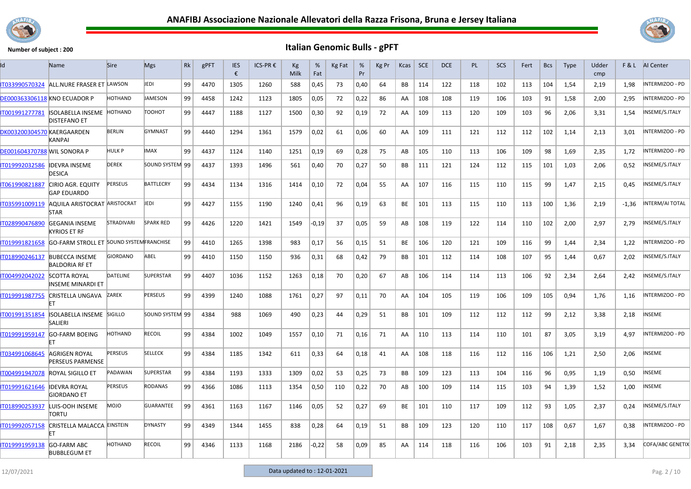



| ld                                  | Name                                               | <b>Sire</b>     | <b>Mgs</b>       | Rk | gPFT | <b>IES</b><br>€ | ICS-PR € | Кg<br>Milk | %<br>Fat | Kg Fat | %<br>Pr | Kg Pr | Kcas      | <b>SCE</b> | <b>DCE</b> | <b>PL</b> | <b>SCS</b> | Fert | <b>Bcs</b> | <b>Type</b> | Udder<br>cmp | F&L     | Al Center              |
|-------------------------------------|----------------------------------------------------|-----------------|------------------|----|------|-----------------|----------|------------|----------|--------|---------|-------|-----------|------------|------------|-----------|------------|------|------------|-------------|--------------|---------|------------------------|
| IT033990570324                      | ALL.NURE FRASER ET LAWSON                          |                 | <b>EDI</b>       | 99 | 4470 | 1305            | 1260     | 588        | 0,45     | 73     | 0,40    | 64    | BB        | 114        | 122        | 118       | 102        | 113  | 104        | 1,54        | 2,19         | 1,98    | INTERMIZOO - PD        |
| <b>DE000363306118 KNO ECUADOR P</b> |                                                    | HOTHAND         | <b>AMESON</b>    | 99 | 4458 | 1242            | 1123     | 1805       | 0,05     | 72     | 0,22    | 86    | AA        | 108        | 108        | 119       | 106        | 103  | 91         | 1,58        | 2,00         | 2,95    | NTERMIZOO - PD         |
| IT001991277781                      | <b>ISOLABELLA INSEME</b><br><b>DISTEFANO ET</b>    | <b>HOTHAND</b>  | тоонот           | 99 | 4447 | 1188            | 1127     | 1500       | 0,30     | 92     | 0,19    | 72    | AA        | 109        | 113        | 120       | 109        | 103  | 96         | 2,06        | 3,31         | 1,54    | INSEME/S.ITALY         |
| DK003200304570 KAERGAARDEN          | <b>KANPAI</b>                                      | <b>BERLIN</b>   | <b>GYMNAST</b>   | 99 | 4440 | 1294            | 1361     | 1579       | 0,02     | 61     | 0,06    | 60    | AA        | 109        | 111        | 121       | 112        | 112  | 102        | 1,14        | 2,13         | 3,01    | INTERMIZOO - PD        |
| DE001604370788 MIL SONORA P         |                                                    | HULK P          | <b>IMAX</b>      | 99 | 4437 | 1124            | 1140     | 1251       | 0,19     | 69     | 0,28    | 75    | AB        | 105        | 110        | 113       | 106        | 109  | 98         | 1,69        | 2,35         | 1,72    | NTERMIZOO - PD         |
| T019992032586                       | <b>IDEVRA INSEME</b><br><b>DESICA</b>              | <b>DEREK</b>    | SOUND SYSTEM 99  |    | 4437 | 1393            | 1496     | 561        | 0,40     | 70     | 0,27    | 50    | <b>BB</b> | 111        | 121        | 124       | 112        | 115  | 101        | 1,03        | 2,06         | 0,52    | INSEME/S.ITALY         |
| IT061990821887                      | <b>CIRIO AGR. EQUITY</b><br><b>GAP EDUARDO</b>     | PERSEUS         | <b>BATTLECRY</b> | 99 | 4434 | 1134            | 1316     | 1414       | 0,10     | 72     | 0,04    | 55    | AA        | 107        | 116        | 115       | 110        | 115  | 99         | 1,47        | 2,15         | 0,45    | INSEME/S.ITALY         |
| IT035991009119                      | <b>AQUILA ARISTOCRAT ARISTOCRAT</b><br><b>STAR</b> |                 | JEDI             | 99 | 4427 | 1155            | 1190     | 1240       | 0,41     | 96     | 0,19    | 63    | BE        | 101        | 113        | 115       | 110        | 113  | 100        | 1,36        | 2,19         | $-1,36$ | NTERM/AI TOTAL         |
| IT028990476890                      | <b>GEGANIA INSEME</b><br><b>KYRIOS ET RF</b>       | STRADIVARI      | <b>SPARK RED</b> | 99 | 4426 | 1220            | 1421     | 1549       | $-0,19$  | 37     | 0,05    | 59    | AB        | 108        | 119        | 122       | 114        | 110  | 102        | 2,00        | 2,97         | 2,79    | NSEME/S.ITALY          |
| IT019991821658                      | <b>GO-FARM STROLL ET SOUND SYSTEM FRANCHISE</b>    |                 |                  | 99 | 4410 | 1265            | 1398     | 983        | 0,17     | 56     | 0,15    | 51    | <b>BE</b> | 106        | 120        | 121       | 109        | 116  | 99         | 1.44        | 2.34         | 1.22    | INTERMIZOO - PD        |
| IT018990246137                      | <b>BUBECCA INSEME</b><br><b>BALDORIA RF ET</b>     | <b>GIORDANO</b> | ABEL             | 99 | 4410 | 1150            | 1150     | 936        | 0,31     | 68     | 0,42    | 79    | BB        | 101        | 112        | 114       | 108        | 107  | 95         | 1,44        | 0,67         | 2,02    | INSEME/S.ITALY         |
| IT004992042022                      | <b>SCOTTA ROYAL</b><br>INSEME MINARDI ET           | <b>DATELINE</b> | <b>SUPERSTAR</b> | 99 | 4407 | 1036            | 1152     | 1263       | 0,18     | 70     | 0,20    | 67    | AB        | 106        | 114        | 114       | 113        | 106  | 92         | 2,34        | 2,64         | 2.42    | NSEME/S.ITALY          |
| IT019991987755                      | <b>CRISTELLA UNGAVA</b>                            | ZAREK           | <b>PERSEUS</b>   | 99 | 4399 | 1240            | 1088     | 1761       | 0,27     | 97     | 0.11    | 70    | AA        | 104        | 105        | 119       | 106        | 109  | 105        | 0.94        | 1,76         | 1.16    | <b>INTERMIZOO - PD</b> |
| IT001991351854                      | ISOLABELLA INSEME SIGILLO<br><b>SALIERI</b>        |                 | SOUND SYSTEM 99  |    | 4384 | 988             | 1069     | 490        | 0,23     | 44     | 0,29    | 51    | BB        | 101        | 109        | 112       | 112        | 112  | 99         | 2,12        | 3,38         | 2,18    | INSEME                 |
| IT019991959147                      | <b>GO-FARM BOEING</b>                              | HOTHAND         | <b>RECOIL</b>    | 99 | 4384 | 1002            | 1049     | 1557       | 0,10     | 71     | 0,16    | 71    | AA        | 110        | 113        | 114       | 110        | 101  | 87         | 3,05        | 3,19         | 4,97    | INTERMIZOO - PD        |
| IT034991068645                      | AGRIGEN ROYAL<br><b>PERSEUS PARMENSE</b>           | <b>PERSEUS</b>  | <b>SELLECK</b>   | 99 | 4384 | 1185            | 1342     | 611        | 0,33     | 64     | 0,18    | 41    | AA        | 108        | 118        | 116       | 112        | 116  | 106        | 1,21        | 2,50         | 2,06    | <b>NSEME</b>           |
| IT004991947078                      | <b>ROYAL SIGILLO ET</b>                            | PADAWAN         | <b>SUPERSTAR</b> | 99 | 4384 | 1193            | 1333     | 1309       | 0,02     | 53     | 0,25    | 73    | BB        | 109        | 123        | 113       | 104        | 116  | 96         | 0,95        | 1,19         | 0,50    | <b>NSEME</b>           |
| IT019991621646                      | <b>IDEVRA ROYAL</b><br><b>GIORDANO ET</b>          | <b>PERSEUS</b>  | <b>RODANAS</b>   | 99 | 4366 | 1086            | 1113     | 1354       | 0,50     | 110    | 0,22    | 70    | AB        | 100        | 109        | 114       | 115        | 103  | 94         | 1,39        | 1,52         | 1,00    | <b>NSEME</b>           |
| IT018990253937                      | LUIS-OOH INSEME<br>TORTU                           | <b>DIOM</b>     | <b>GUARANTEE</b> | 99 | 4361 | 1163            | 1167     | 1146       | 0,05     | 52     | 0,27    | 69    | <b>BE</b> | 101        | 110        | 117       | 109        | 112  | 93         | 1,05        | 2,37         | 0,24    | INSEME/S.ITALY         |
| IT019992057158                      | CRISTELLA MALACCA EINSTEIN<br>FT                   |                 | <b>DYNASTY</b>   | 99 | 4349 | 1344            | 1455     | 838        | 0,28     | 64     | 0,19    | 51    | BB        | 109        | 123        | 120       | 110        | 117  | 108        | 0,67        | 1,67         | 0,38    | INTERMIZOO - PD        |
| T019991959138                       | <b>GO-FARM ABC</b><br><b>BUBBLEGUM ET</b>          | HOTHAND         | <b>RECOIL</b>    | 99 | 4346 | 1133            | 1168     | 2186       | $-0,22$  | 58     | 0,09    | 85    | AA        | 114        | 118        | 116       | 106        | 103  | 91         | 2,18        | 2,35         | 3.34    | COFA/ABC GENETIX       |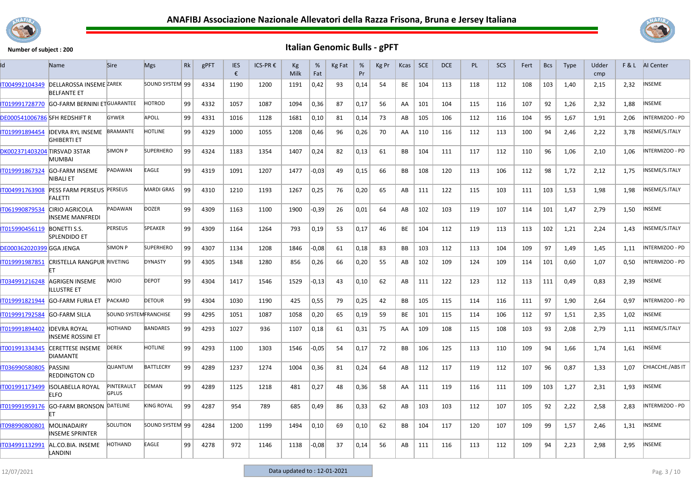



| Id                                   | <b>Name</b>                                          | <b>Sire</b>                  | <b>Mgs</b>        | Rk | gPFT | <b>IES</b><br>€ | ICS-PR € | Кg<br>Milk | %<br>Fat | Kg Fat | %<br>Pr | Kg Pr | Kcas      | <b>SCE</b> | <b>DCE</b> | <b>PL</b> | <b>SCS</b> | Fert | <b>Bcs</b> | <b>Type</b> | Udder<br>cmp |      | <b>F&amp;L</b> AI Center |
|--------------------------------------|------------------------------------------------------|------------------------------|-------------------|----|------|-----------------|----------|------------|----------|--------|---------|-------|-----------|------------|------------|-----------|------------|------|------------|-------------|--------------|------|--------------------------|
| IT004992104349                       | <b>DELLAROSSA INSEME ZAREK</b><br><b>BELFANTE ET</b> |                              | SOUND SYSTEM 99   |    | 4334 | 1190            | 1200     | 1191       | 0,42     | 93     | 0,14    | 54    | BE        | 104        | 113        | 118       | 112        | 108  | 103        | 1,40        | 2,15         | 2,32 | <b>INSEME</b>            |
| IT019991728770                       | <b>GO-FARM BERNINI ETGUARANTEE</b>                   |                              | <b>HOTROD</b>     | 99 | 4332 | 1057            | 1087     | 1094       | 0,36     | 87     | 0,17    | 56    | AA        | 101        | 104        | 115       | 116        | 107  | 92         | 1,26        | 2,32         | 1,88 | <b>INSEME</b>            |
| <b>DE000541006786 SFH REDSHIFT R</b> |                                                      | <b>GYWER</b>                 | APOLL             | 99 | 4331 | 1016            | 1128     | 1681       | 0,10     | 81     | 0,14    | 73    | AB        | 105        | 106        | 112       | 116        | 104  | 95         | 1,67        | 1,91         | 2,06 | INTERMIZOO - PD          |
| IT019991894454                       | <b>IDEVRA RYL INSEME</b><br>IGHIBERTI ET             | <b>BRAMANTE</b>              | <b>HOTLINE</b>    | 99 | 4329 | 1000            | 1055     | 1208       | 0,46     | 96     | 0,26    | 70    | AA        | 110        | 116        | 112       | 113        | 100  | 94         | 2,46        | 2,22         | 3,78 | INSEME/S.ITALY           |
| DK002371403204 TIRSVAD 3STAR         | MUMBAI                                               | SIMON P                      | <b>SUPERHERO</b>  | 99 | 4324 | 1183            | 1354     | 1407       | 0,24     | 82     | 0.13    | 61    | <b>BB</b> | 104        | 111        | 117       | 112        | 110  | 96         | 1,06        | 2,10         | 1.06 | INTERMIZOO - PD          |
| T019991867324                        | <b>GO-FARM INSEME</b><br>NIBALI ET                   | PADAWAN                      | EAGLE             | 99 | 4319 | 1091            | 1207     | 1477       | $-0,03$  | 49     | 0,15    | 66    | <b>BB</b> | 108        | 120        | 113       | 106        | 112  | 98         | 1,72        | 2,12         | 1,75 | INSEME/S.ITALY           |
| IT004991763908                       | PESS FARM PERSEUS PERSEUS<br><b>FALETTI</b>          |                              | <b>MARDI GRAS</b> | 99 | 4310 | 1210            | 1193     | 1267       | 0,25     | 76     | 0,20    | 65    | AB        | 111        | 122        | 115       | 103        | 111  | 103        | 1,53        | 1,98         | 1,98 | INSEME/S.ITALY           |
| IT061990879534                       | <b>CIRIO AGRICOLA</b><br><b>INSEME MANFREDI</b>      | PADAWAN                      | <b>DOZER</b>      | 99 | 4309 | 1163            | 1100     | 1900       | $-0,39$  | 26     | 0,01    | 64    | AB        | 102        | 103        | 119       | 107        | 114  | 101        | 1,47        | 2,79         | 1,50 | INSEME                   |
| IT015990456119                       | <b>BONETTI S.S.</b><br><b>SPLENDIDO ET</b>           | <b>PERSEUS</b>               | SPEAKER           | 99 | 4309 | 1164            | 1264     | 793        | 0,19     | 53     | 0,17    | 46    | BE        | 104        | 112        | 119       | 113        | 113  | 102        | 1,21        | 2,24         | 1,43 | INSEME/S.ITALY           |
| DE000362020399 GGA JENGA             |                                                      | <b>SIMON P</b>               | <b>SUPERHERO</b>  | 99 | 4307 | 1134            | 1208     | 1846       | $-0,08$  | 61     | 0,18    | 83    | BB        | 103        | 112        | 113       | 104        | 109  | 97         | 1,49        | 1,45         | 1,11 | INTERMIZOO - PD          |
| IT019991987851                       | CRISTELLA RANGPUR RIVETING                           |                              | <b>DYNASTY</b>    | 99 | 4305 | 1348            | 1280     | 856        | 0,26     | 66     | 0,20    | 55    | AB        | 102        | 109        | 124       | 109        | 114  | 101        | 0,60        | 1,07         | 0,50 | INTERMIZOO - PD          |
| IT034991216248                       | AGRIGEN INSEME<br>ILLUSTRE ET                        | <b>DIOM</b>                  | <b>DEPOT</b>      | 99 | 4304 | 1417            | 1546     | 1529       | $-0,13$  | 43     | 0,10    | 62    | AB        | 111        | 122        | 123       | 112        | 113  | 111        | 0,49        | 0,83         | 2,39 | INSEME                   |
| IT019991821944                       | <b>GO-FARM FURIA ET</b>                              | PACKARD                      | <b>DETOUR</b>     | 99 | 4304 | 1030            | 1190     | 425        | 0,55     | 79     | 0.25    | 42    | <b>BB</b> | 105        | 115        | 114       | 116        | 111  | 97         | 1.90        | 2,64         | 0.97 | INTERMIZOO - PD          |
| IT019991792584                       | <b>GO-FARM SILLA</b>                                 | <b>SOUND SYSTEMFRANCHISE</b> |                   | 99 | 4295 | 1051            | 1087     | 1058       | 0,20     | 65     | 0.19    | 59    | <b>BE</b> | 101        | 115        | 114       | 106        | 112  | 97         | 1,51        | 2.35         | 1.02 | INSEME                   |
| IT019991894402                       | <b>IDEVRA ROYAL</b><br>INSEME ROSSINI ET             | <b>HOTHAND</b>               | <b>BANDARES</b>   | 99 | 4293 | 1027            | 936      | 1107       | 0,18     | 61     | 0,31    | 75    | AA        | 109        | 108        | 115       | 108        | 103  | 93         | 2,08        | 2,79         | 1,11 | INSEME/S.ITALY           |
| T001991334345                        | <b>CERETTESE INSEME</b><br><b>DIAMANTE</b>           | <b>DEREK</b>                 | <b>HOTLINE</b>    | 99 | 4293 | 1100            | 1303     | 1546       | $-0,05$  | 54     | 0.17    | 72    | <b>BB</b> | 106        | 125        | 113       | 110        | 109  | 94         | 1,66        | 1,74         | 1,61 | INSEME                   |
| IT036990580805                       | PASSINI<br><b>REDDINGTON CD</b>                      | <b>QUANTUM</b>               | <b>BATTLECRY</b>  | 99 | 4289 | 1237            | 1274     | 1004       | 0,36     | 81     | 0,24    | 64    | AB        | 112        | 117        | 119       | 112        | 107  | 96         | 0,87        | 1,33         | 1,07 | CHIACCHE./ABS IT         |
| IT001991173499                       | ISOLABELLA ROYAL<br>FI FO                            | PINTERAULT<br><b>GPLUS</b>   | DEMAN             | 99 | 4289 | 1125            | 1218     | 481        | 0,27     | 48     | 0,36    | 58    | AA        | 111        | 119        | 116       | 111        | 109  | 103        | 1,27        | 2,31         | 1,93 | INSEME                   |
| T019991959176                        | <b>GO-FARM BRONSON DATELINE</b>                      |                              | <b>KING ROYAL</b> | 99 | 4287 | 954             | 789      | 685        | 0,49     | 86     | 0,33    | 62    | AB        | 103        | 103        | 112       | 107        | 105  | 92         | 2,22        | 2,58         | 2,83 | INTERMIZOO - PD          |
| IT098990800801                       | <b>MOLINADAIRY</b><br>INSEME SPRINTER                | SOLUTION                     | SOUND SYSTEM 99   |    | 4284 | 1200            | 1199     | 1494       | 0,10     | 69     | 0,10    | 62    | <b>BB</b> | 104        | 117        | 120       | 107        | 109  | 99         | 1,57        | 2,46         | 1,31 | <b>INSEME</b>            |
| IT034991132991                       | AL.CO.BIA. INSEME<br>LANDINI                         | <b>HOTHAND</b>               | EAGLE             | 99 | 4278 | 972             | 1146     | 1138       | $-0,08$  | 37     | 0.14    | 56    | AB        | 111        | 116        | 113       | 112        | 109  | 94         | 2,23        | 2,98         | 2,95 | <b>INSEME</b>            |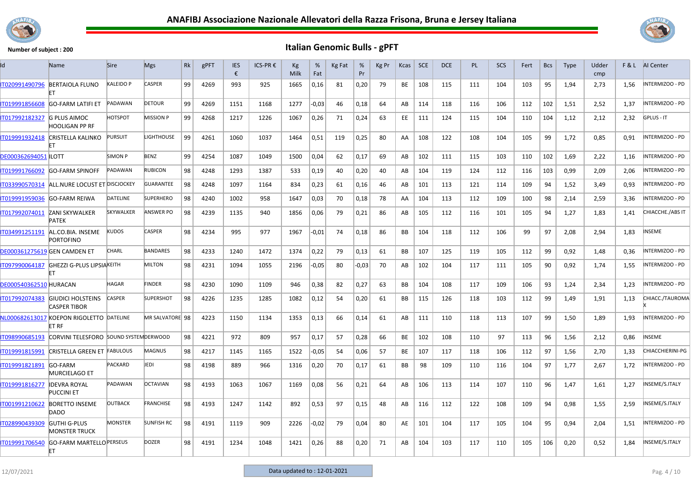



| ld                            | Name                                                    | <b>Sire</b>      | <b>Mgs</b>        | Rk | gPFT | <b>IES</b><br>€ | ICS-PR € | Kg<br>Milk | %<br>Fat | Kg Fat | %<br>Pr | Kg Pr | Kcas      | <b>SCE</b> | <b>DCE</b> | PL. | <b>SCS</b> | Fert | <b>Bcs</b> | <b>Type</b> | Udder<br>cmp | F&L  | AI Center         |
|-------------------------------|---------------------------------------------------------|------------------|-------------------|----|------|-----------------|----------|------------|----------|--------|---------|-------|-----------|------------|------------|-----|------------|------|------------|-------------|--------------|------|-------------------|
| IT020991490796                | <b>BERTAIOLA FLUNO</b><br>FT                            | KALEIDO P        | <b>CASPER</b>     | 99 | 4269 | 993             | 925      | 1665       | 0,16     | 81     | 0,20    | 79    | BE        | 108        | 115        | 111 | 104        | 103  | 95         | 1,94        | 2,73         | 1,56 | INTERMIZOO - PD   |
| IT019991856608                | <b>GO-FARM LATIFI ET</b>                                | PADAWAN          | <b>DETOUR</b>     | 99 | 4269 | 1151            | 1168     | 1277       | $-0,03$  | 46     | 0,18    | 64    | AB        | 114        | 118        | 116 | 106        | 112  | 102        | 1,51        | 2,52         | 1,37 | INTERMIZOO - PD   |
| IT017992182327                | <b>G PLUS AIMOC</b><br>HOOLIGAN PP RF                   | HOTSPOT          | <b>MISSION P</b>  | 99 | 4268 | 1217            | 1226     | 1067       | 0,26     | 71     | 0,24    | 63    | EE.       | 111        | 124        | 115 | 104        | 110  | 104        | 1,12        | 2,12         | 2,32 | <b>GPLUS - IT</b> |
| IT019991932418                | CRISTELLA KALINKO                                       | <b>PURSUIT</b>   | LIGHTHOUSE        | 99 | 4261 | 1060            | 1037     | 1464       | 0,51     | 119    | 0,25    | 80    | AA        | 108        | 122        | 108 | 104        | 105  | 99         | 1,72        | 0,85         | 0,91 | INTERMIZOO - PD   |
| <b>DE000362694051 ILOTT</b>   |                                                         | <b>SIMON P</b>   | <b>BENZ</b>       | 99 | 4254 | 1087            | 1049     | 1500       | 0,04     | 62     | 0,17    | 69    | AB        | 102        | 111        | 115 | 103        | 110  | 102        | 1,69        | 2,22         | 1,16 | NTERMIZOO - PD    |
| IT019991766092                | <b>GO-FARM SPINOFF</b>                                  | PADAWAN          | <b>RUBICON</b>    | 98 | 4248 | 1293            | 1387     | 533        | 0,19     | 40     | 0,20    | 40    | AB        | 104        | 119        | 124 | 112        | 116  | 103        | 0.99        | 2,09         | 2,06 | NTERMIZOO - PD    |
| IT033990570314                | ALL.NURE LOCUST ET DISCJOCKEY                           |                  | <b>GUARANTEE</b>  | 98 | 4248 | 1097            | 1164     | 834        | 0,23     | 61     | 0,16    | 46    | AB        | 101        | 113        | 121 | 114        | 109  | 94         | 1,52        | 3,49         | 0.93 | INTERMIZOO - PD   |
| IT019991959036                | <b>GO-FARM REIWA</b>                                    | <b>DATELINE</b>  | <b>SUPERHERO</b>  | 98 | 4240 | 1002            | 958      | 1647       | 0,03     | 70     | 0,18    | 78    | AA        | 104        | 113        | 112 | 109        | 100  | 98         | 2,14        | 2,59         | 3,36 | NTERMIZOO - PD    |
| IT017992074011                | <b>ZANI SKYWALKER</b><br><b>PATEK</b>                   | <b>SKYWALKER</b> | ANSWER PO         | 98 | 4239 | 1135            | 940      | 1856       | 0,06     | 79     | 0,21    | 86    | AB        | 105        | 112        | 116 | 101        | 105  | 94         | 1,27        | 1,83         | 1,41 | CHIACCHE./ABS IT  |
| IT034991251191                | AL.CO.BIA. INSEME<br><b>PORTOFINO</b>                   | <b>KUDOS</b>     | <b>CASPER</b>     | 98 | 4234 | 995             | 977      | 1967       | $-0,01$  | 74     | 0,18    | 86    | <b>BB</b> | 104        | 118        | 112 | 106        | 99   | 97         | 2,08        | 2,94         | 1,83 | NSEME             |
|                               | <b>DE000361275619 GEN CAMDEN ET</b>                     | <b>CHARL</b>     | <b>BANDARES</b>   | 98 | 4233 | 1240            | 1472     | 1374       | 0,22     | 79     | 0,13    | 61    | BB        | 107        | 125        | 119 | 105        | 112  | 99         | 0,92        | 1,48         | 0,36 | NTERMIZOO - PD    |
|                               | IT097990064187 GHEZZI G-PLUS LIPSIAKEITH<br>FT          |                  | <b>MILTON</b>     | 98 | 4231 | 1094            | 1055     | 2196       | $-0,05$  | 80     | -0,03   | 70    | AB        | 102        | 104        | 117 | 111        | 105  | 90         | 0,92        | 1,74         | 1,55 | NTERMIZOO - PD    |
| <b>DE000540362510 HURACAN</b> |                                                         | HAGAR            | <b>FINDER</b>     | 98 | 4230 | 1090            | 1109     | 946        | 0,38     | 82     | 0,27    | 63    | <b>BB</b> | 104        | 108        | 117 | 109        | 106  | 93         | 1,24        | 2,34         | 1,23 | INTERMIZOO - PD   |
|                               | IT017992074383 GIUDICI HOLSTEINS<br><b>CASPER TIBOR</b> | <b>CASPER</b>    | <b>SUPERSHOT</b>  | 98 | 4226 | 1235            | 1285     | 1082       | 0,12     | 54     | 0,20    | 61    | BB        | 115        | 126        | 118 | 103        | 112  | 99         | 1,49        | 1,91         | 1,13 | CHIACC./TAUROMA   |
|                               | NL000682613017 KOEPON RIGOLETTO DATELINE<br>ET RF       |                  | MR SALVATORE 98   |    | 4223 | 1150            | 1134     | 1353       | 0,13     | 66     | 0,14    | 61    | AB        | 111        | 110        | 118 | 113        | 107  | 99         | 1,50        | 1,89         | 1,93 | NTERMIZOO - PD    |
| IT098990685193                | CORVINI TELESFORO SOUND SYSTEM DERWOOD                  |                  |                   | 98 | 4221 | 972             | 809      | 957        | 0,17     | 57     | 0,28    | 66    | BE        | 102        | 108        | 110 | 97         | 113  | 96         | 1,56        | 2,12         | 0,86 | NSEME             |
| IT019991815991                | CRISTELLA GREEN ET FABULOUS                             |                  | <b>MAGNUS</b>     | 98 | 4217 | 1145            | 1165     | 1522       | -0,05    | 54     | 0,06    | 57    | BE        | 107        | 117        | 118 | 106        | 112  | 97         | 1,56        | 2,70         | 1,33 | CHIACCHIERINI-PG  |
| IT019991821891                | GO-FARM<br><b>MURCIELAGO ET</b>                         | <b>PACKARD</b>   | <b>EDI</b>        | 98 | 4198 | 889             | 966      | 1316       | 0,20     | 70     | 0,17    | 61    | ВB        | 98         | 109        | 110 | 116        | 104  | 97         | 1,77        | 2,67         | 1,72 | NTERMIZOO - PD    |
| IT019991816277                | <b>IDEVRA ROYAL</b><br><b>PUCCINI ET</b>                | PADAWAN          | <b>OCTAVIAN</b>   | 98 | 4193 | 1063            | 1067     | 1169       | 0,08     | 56     | 0,21    | 64    | AB        | 106        | 113        | 114 | 107        | 110  | 96         | 1,47        | 1.61         | 1,27 | NSEME/S.ITALY     |
| IT001991210622                | <b>BORETTO INSEME</b><br>DADO                           | <b>OUTBACK</b>   | <b>FRANCHISE</b>  | 98 | 4193 | 1247            | 1142     | 892        | 0,53     | 97     | 0.15    | 48    | AB        | 116        | 112        | 122 | 108        | 109  | 94         | 0,98        | 1,55         | 2.59 | INSEME/S.ITALY    |
| IT028990439309                | <b>GUTHI G-PLUS</b><br><b>MONSTER TRUCK</b>             | <b>MONSTER</b>   | <b>SUNFISH RC</b> | 98 | 4191 | 1119            | 909      | 2226       | $-0.02$  | 79     | 0,04    | 80    | AE        | 101        | 104        | 117 | 105        | 104  | 95         | 0,94        | 2,04         | 1,51 | INTERMIZOO - PD   |
| IT019991706540                | <b>GO-FARM MARTELLO PERSEUS</b><br>ET.                  |                  | <b>DOZER</b>      | 98 | 4191 | 1234            | 1048     | 1421       | 0,26     | 88     | 0,20    | 71    | AB        | 104        | 103        | 117 | 110        | 105  | 106        | 0,20        | 0,52         | 1,84 | INSEME/S.ITALY    |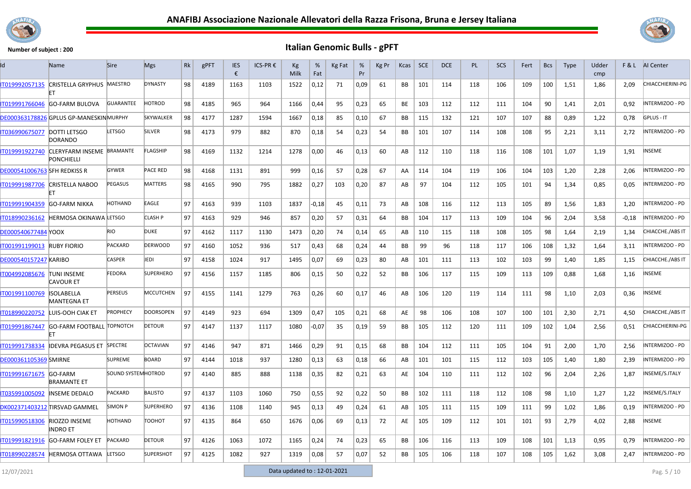



| Id                                  | Name                                    | <b>Sire</b>         | <b>Mgs</b>       | Rk | gPFT | <b>IES</b><br>€ | ICS-PR € | Kg<br>Milk | %<br>Fat | Kg Fat | %<br>Pr | Kg Pr | Kcas      | <b>SCE</b> | <b>DCE</b> | <b>PL</b> | <b>SCS</b> | Fert | <b>Bcs</b> | Type | Udder<br>cmp | F&L   | Al Center               |
|-------------------------------------|-----------------------------------------|---------------------|------------------|----|------|-----------------|----------|------------|----------|--------|---------|-------|-----------|------------|------------|-----------|------------|------|------------|------|--------------|-------|-------------------------|
| IT019992057135                      | CRISTELLA GRYPHUS MAESTRO               |                     | <b>DYNASTY</b>   | 98 | 4189 | 1163            | 1103     | 1522       | 0,12     | 71     | 0,09    | 61    | BB        | 101        | 114        | 118       | 106        | 109  | 100        | 1,51 | 1,86         | 2,09  | CHIACCHIERINI-PG        |
| IT019991766046                      | GO-FARM BULOVA                          | <b>GUARANTEE</b>    | <b>HOTROD</b>    | 98 | 4185 | 965             | 964      | 1166       | 0,44     | 95     | 0,23    | 65    | BE        | 103        | 112        | 112       | 111        | 104  | 90         | 1,41 | 2,01         | 0,92  | INTERMIZOO - PD         |
|                                     | DE000363178826 GPLUS GP-MANESKINMURPHY  |                     | <b>SKYWALKER</b> | 98 | 4177 | 1287            | 1594     | 1667       | 0,18     | 85     | 0,10    | 67    | BB        | 115        | 132        | 121       | 107        | 107  | 88         | 0,89 | 1,22         | 0,78  | <b>GPLUS - IT</b>       |
| IT036990675077 DOTTI LETSGO         | <b>DORANDO</b>                          | <b>LETSGO</b>       | SILVER           | 98 | 4173 | 979             | 882      | 870        | 0,18     | 54     | 0,23    | 54    | BB        | 101        | 107        | 114       | 108        | 108  | 95         | 2,21 | 3,11         | 2,72  | INTERMIZOO - PD         |
| IT019991922740                      | CLERYFARM INSEME BRAMANTE<br>PONCHIELLI |                     | FLAGSHIP         | 98 | 4169 | 1132            | 1214     | 1278       | 0,00     | 46     | 0,13    | 60    | AB        | 112        | 110        | 118       | 116        | 108  | 101        | 1,07 | 1,19         | 1,91  | <b>INSEME</b>           |
| <b>DE000541006763 SFH REDKISS R</b> |                                         | <b>GYWER</b>        | <b>PACE RED</b>  | 98 | 4168 | 1131            | 891      | 999        | 0,16     | 57     | 0,28    | 67    | AA        | 114        | 104        | 119       | 106        | 104  | 103        | 1,20 | 2,28         | 2,06  | INTERMIZOO - PD         |
| IT019991987706                      | <b>CRISTELLA NABOO</b>                  | PEGASUS             | <b>MATTERS</b>   | 98 | 4165 | 990             | 795      | 1882       | 0,27     | 103    | 0,20    | 87    | AB        | 97         | 104        | 112       | 105        | 101  | 94         | 1,34 | 0,85         | 0,05  | INTERMIZOO - PD         |
| T019991904359                       | <b>GO-FARM NIKKA</b>                    | HOTHAND             | EAGLE            | 97 | 4163 | 939             | 1103     | 1837       | $-0,18$  | 45     | 0,11    | 73    | AB        | 108        | 116        | 112       | 113        | 105  | 89         | 1,56 | 1,83         | 1,20  | INTERMIZOO - PD         |
| IT018990236162                      | <b>HERMOSA OKINAWA LETSGO</b>           |                     | CLASH P          | 97 | 4163 | 929             | 946      | 857        | 0,20     | 57     | 0,31    | 64    | BB        | 104        | 117        | 113       | 109        | 104  | 96         | 2,04 | 3,58         | -0,18 | INTERMIZOO - PD         |
| DE000540677484 YOOX                 |                                         | <b>RIO</b>          | <b>DUKE</b>      | 97 | 4162 | 1117            | 1130     | 1473       | 0,20     | 74     | 0,14    | 65    | AB        | 110        | 115        | 118       | 108        | 105  | 98         | 1,64 | 2,19         | 1.34  | CHIACCHE./ABS IT        |
| IT001991199013                      | <b>RUBY FIORIO</b>                      | <b>PACKARD</b>      | <b>DERWOOD</b>   | 97 | 4160 | 1052            | 936      | 517        | 0,43     | 68     | 0,24    | 44    | BB        | 99         | 96         | 118       | 117        | 106  | 108        | 1,32 | 1,64         | 3,11  | INTERMIZOO - PD         |
| <b>DE000540157247 KARIBO</b>        |                                         | <b>CASPER</b>       | iedi             | 97 | 4158 | 1024            | 917      | 1495       | 0,07     | 69     | 0,23    | 80    | AB        | 101        | 111        | 113       | 102        | 103  | 99         | 1,40 | 1,85         | 1,15  | CHIACCHE./ABS IT        |
| IT004992085676                      | <b>TUNI INSEME</b><br><b>CAVOUR ET</b>  | <b>FEDORA</b>       | <b>SUPERHERO</b> | 97 | 4156 | 1157            | 1185     | 806        | 0,15     | 50     | 0,22    | 52    | <b>BB</b> | 106        | 117        | 115       | 109        | 113  | 109        | 0,88 | 1,68         | 1,16  | INSEME                  |
| IT001991100769                      | <b>ISOLABELLA</b><br><b>MANTEGNA ET</b> | <b>PERSEUS</b>      | MCCUTCHEN        | 97 | 4155 | 1141            | 1279     | 763        | 0,26     | 60     | 0,17    | 46    | AB        | 106        | 120        | 119       | 114        | 111  | 98         | 1,10 | 2,03         | 0,36  | <b>INSEME</b>           |
| IT018990220752                      | LUIS-OOH CIAK ET                        | <b>PROPHECY</b>     | <b>DOORSOPEN</b> | 97 | 4149 | 923             | 694      | 1309       | 0,47     | 105    | 0,21    | 68    | AE        | 98         | 106        | 108       | 107        | 100  | 101        | 2,30 | 2,71         | 4,50  | CHIACCHE./ABS IT        |
| IT019991867447                      | <b>GO-FARM FOOTBALL TOPNOTCH</b>        |                     | <b>DETOUR</b>    | 97 | 4147 | 1137            | 1117     | 1080       | -0,07    | 35     | 0,19    | 59    | BB        | 105        | 112        | 120       | 111        | 109  | 102        | 1,04 | 2,56         | 0,51  | <b>CHIACCHIERINI-PG</b> |
| IT019991738334                      | <b>IDEVRA PEGASUS ET</b>                | <b>SPECTRE</b>      | <b>OCTAVIAN</b>  | 97 | 4146 | 947             | 871      | 1466       | 0,29     | 91     | 0,15    | 68    | BB        | 104        | 112        | 111       | 105        | 104  | 91         | 2,00 | 1,70         | 2,56  | INTERMIZOO - PD         |
| <b>DE000361105369 SMIRNE</b>        |                                         | <b>SUPREME</b>      | <b>BOARD</b>     | 97 | 4144 | 1018            | 937      | 1280       | 0,13     | 63     | 0,18    | 66    | AB        | 101        | 101        | 115       | 112        | 103  | 105        | 1,40 | 1,80         | 2,39  | INTERMIZOO - PD         |
| IT019991671675                      | <b>GO-FARM</b><br><b>BRAMANTE ET</b>    | SOUND SYSTEM HOTROD |                  | 97 | 4140 | 885             | 888      | 1138       | 0,35     | 82     | 0,21    | 63    | AE        | 104        | 110        | 111       | 112        | 102  | 96         | 2,04 | 2,26         | 1,87  | INSEME/S.ITALY          |
| IT035991005092                      | INSEME DEDALO                           | <b>PACKARD</b>      | <b>BALISTO</b>   | 97 | 4137 | 1103            | 1060     | 750        | 0,55     | 92     | 0,22    | 50    | BB        | 102        | 111        | 118       | 112        | 108  | 98         | 1,10 | 1,27         | 1,22  | INSEME/S.ITALY          |
|                                     | DK002371403212 TIRSVAD GAMMEL           | <b>SIMON P</b>      | <b>SUPERHERO</b> | 97 | 4136 | 1108            | 1140     | 945        | 0,13     | 49     | 0,24    | 61    | AB        | 105        | 111        | 115       | 109        | 111  | 99         | 1,02 | 1,86         | 0,19  | INTERMIZOO - PD         |
| IT015990518306                      | <b>RIOZZO INSEME</b><br>INDRO ET        | <b>HOTHAND</b>      | тоонот           | 97 | 4135 | 864             | 650      | 1676       | 0,06     | 69     | 0,13    | 72    | AE        | 105        | 109        | 112       | 101        | 101  | 93         | 2,79 | 4,02         | 2,88  | <b>INSEME</b>           |
| IT019991821916                      | <b>GO-FARM FOLEY ET</b>                 | PACKARD             | <b>DETOUR</b>    | 97 | 4126 | 1063            | 1072     | 1165       | 0,24     | 74     | 0,23    | 65    | BB        | 106        | 116        | 113       | 109        | 108  | 101        | 1,13 | 0,95         | 0,79  | INTERMIZOO - PD         |
|                                     | IT018990228574 HERMOSA OTTAWA           | LETSGO              | <b>SUPERSHOT</b> | 97 | 4125 | 1082            | 927      | 1319       | 0,08     | 57     | 0,07    | 52    | BB        | 105        | 106        | 118       | 107        | 108  | 105        | 1,62 | 3,08         | 2,47  | <b>INTERMIZOO - PD</b>  |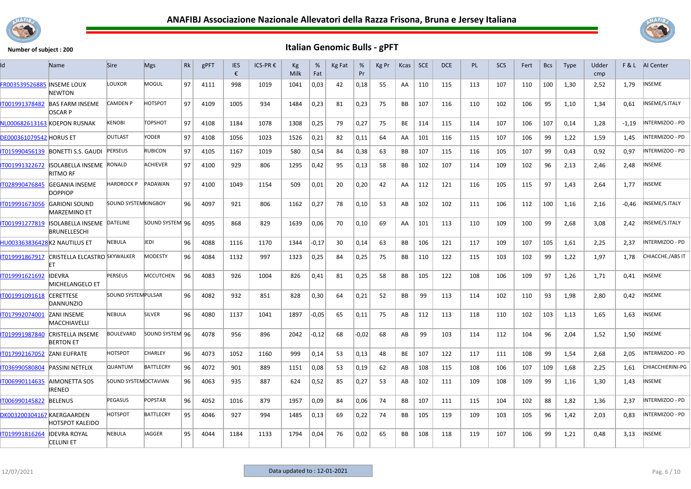



| Id                                | <b>Name</b>                                              | <b>Sire</b>                 | <b>Mgs</b>       | <b>Rk</b> | gPFT | <b>IES</b><br>€ | ICS-PR € | Kg<br>Milk | %<br>Fat | Kg Fat | %<br>Pr | Kg Pr | <b>Kcas</b> | <b>SCE</b> | <b>DCE</b> | <b>PL</b> | <b>SCS</b> | Fert | <b>Bcs</b> | <b>Type</b> | Udder<br>cmp |         | F & L AI Center        |
|-----------------------------------|----------------------------------------------------------|-----------------------------|------------------|-----------|------|-----------------|----------|------------|----------|--------|---------|-------|-------------|------------|------------|-----------|------------|------|------------|-------------|--------------|---------|------------------------|
| <b>FR003539526885 INSEME LOUX</b> | <b>NEWTON</b>                                            | LOUXOR                      | MOGUL            | 97        | 4111 | 998             | 1019     | 1041       | 0,03     | 42     | 0,18    | 55    | AA          | 110        | 115        | 113       | 107        | 110  | 100        | 1,30        | 2,52         | 1,79    | NSEME                  |
| IT001991378482                    | <b>BAS FARM INSEME</b><br><b>OSCARP</b>                  | <b>CAMDEN P</b>             | <b>HOTSPOT</b>   | 97        | 4109 | 1005            | 934      | 1484       | 0,23     | 81     | 0,23    | 75    | <b>BB</b>   | 107        | 116        | 110       | 102        | 106  | 95         | 1,10        | 1,34         | 0,61    | INSEME/S.ITALY         |
|                                   | NL000682613163 KOEPON RUSNAK                             | <b>KENOBI</b>               | <b>TOPSHOT</b>   | 97        | 4108 | 1184            | 1078     | 1308       | 0,25     | 79     | 0,27    | 75    | BE          | 114        | 115        | 114       | 107        | 106  | 107        | 0,14        | 1,28         | $-1,19$ | <b>INTERMIZOO - PD</b> |
| <b>DE000361079542 HORUS ET</b>    |                                                          | <b>OUTLAST</b>              | YODER            | 97        | 4108 | 1056            | 1023     | 1526       | 0,21     | 82     | 0,11    | 64    | AA          | 101        | 116        | 115       | 107        | 106  | 99         | 1,22        | 1,59         | 1,45    | INTERMIZOO - PD        |
| T015990456139                     | BONETTI S.S. GAUDI                                       | <b>PERSEUS</b>              | <b>RUBICON</b>   | 97        | 4105 | 1167            | 1019     | 580        | 0,54     | 84     | 0,38    | 63    | ВB          | 107        | 115        | 116       | 105        | 107  | 99         | 0,43        | 0,92         | 0,97    | INTERMIZOO - PD        |
| IT001991322672                    | <b>ISOLABELLA INSEME RONALD</b><br><b>RITMO RF</b>       |                             | <b>ACHIEVER</b>  | 97        | 4100 | 929             | 806      | 1295       | 0,42     | 95     | 0,13    | 58    | <b>BB</b>   | 102        | 107        | 114       | 109        | 102  | 96         | 2,13        | 2.46         | 2.48    | NSEME                  |
| IT028990476845                    | <b>GEGANIA INSEME</b><br><b>DOPPIOP</b>                  | HARDROCK P                  | PADAWAN          | 97        | 4100 | 1049            | 1154     | 509        | 0,01     | 20     | 0,20    | 42    | AA          | 112        | 121        | 116       | 105        | 115  | 97         | 1,43        | 2.64         | 1,77    | NSEME                  |
| IT019991673056                    | <b>GARIONI SOUND</b><br><b>MARZEMINO ET</b>              | <b>SOUND SYSTEMKINGBOY</b>  |                  | 96        | 4097 | 921             | 806      | 1162       | 0,27     | 78     | 0,10    | 53    | AB          | 102        | 102        | 111       | 106        | 112  | 100        | 1,16        | 2,16         | $-0,46$ | NSEME/S.ITALY          |
| IT001991277819                    | <b>ISOLABELLA INSEME DATELINE</b><br><b>BRUNELLESCHI</b> |                             | SOUND SYSTEM 96  |           | 4095 | 868             | 829      | 1639       | 0,06     | 70     | 0,10    | 69    | AA          | 101        | 113        | 110       | 109        | 100  | 99         | 2,68        | 3,08         | 2,42    | NSEME/S.ITALY          |
| HU003363836428K2 NAUTILUS ET      |                                                          | <b>NEBULA</b>               | JEDI             | 96        | 4088 | 1116            | 1170     | 1344       | $-0,17$  | 30     | 0,14    | 63    | ВB          | 106        | 121        | 117       | 109        | 107  | 105        | 1,61        | 2,25         | 2,37    | <b>INTERMIZOO - PD</b> |
|                                   | IT019991867917 CRISTELLA ELCASTRO SKYWALKER              |                             | <b>MODESTY</b>   | 96        | 4084 | 1132            | 997      | 1323       | 0,25     | 84     | 0,25    | 75    | BB          | 110        | 122        | 115       | 103        | 102  | 99         | 1,22        | 1,97         | 1,78    | CHIACCHE./ABS IT       |
| IT019991621692                    | <b>IDEVRA</b><br>MICHELANGELO ET                         | <b>PERSEUS</b>              | <b>MCCUTCHEN</b> | 96        | 4083 | 926             | 1004     | 826        | 0,41     | 81     | 0,25    | 58    | <b>BB</b>   | 105        | 122        | 108       | 106        | 109  | 97         | 1,26        | 1,71         | 0.41    | NSEME                  |
| T001991091618                     | <b>CERETTESE</b><br>DANNUNZIO                            | <b>SOUND SYSTEM PULSAR</b>  |                  | 96        | 4082 | 932             | 851      | 828        | 0,30     | 64     | 0,21    | 52    | <b>BB</b>   | 99         | 113        | 114       | 102        | 110  | 93         | 1,98        | 2,80         | 0,42    | NSEME                  |
| IT017992074001                    | <b>ZANI INSEME</b><br><b>MACCHIAVELLI</b>                | <b>NEBULA</b>               | <b>SILVER</b>    | 96        | 4080 | 1137            | 1041     | 1897       | $-0,05$  | 65     | 0,11    | 75    | AB          | 112        | 113        | 118       | 110        | 102  | 103        | 1,13        | 1,65         | 1,63    | <b>INSEME</b>          |
| IT019991987840                    | <b>CRISTELLA INSEME</b><br><b>BERTON ET</b>              | <b>BOULEVARD</b>            | SOUND SYSTEM 96  |           | 4078 | 956             | 896      | 2042       | $-0,12$  | 68     | $-0,02$ | 68    | AB          | 99         | 103        | 114       | 112        | 104  | 96         | 2,04        | 1,52         | 1,50    | <b>NSEME</b>           |
| IT017992167052                    | <b>ZANI EUFRATE</b>                                      | <b>HOTSPOT</b>              | <b>CHARLEY</b>   | 96        | 4073 | 1052            | 1160     | 999        | 0,14     | 53     | 0,13    | 48    | BE          | 107        | 122        | 117       | 111        | 108  | 99         | 1,54        | 2,68         | 2.05    | INTERMIZOO - PD        |
| IT036990580804                    | <b>PASSINI NETFLIX</b>                                   | <b>QUANTUM</b>              | <b>BATTLECRY</b> | 96        | 4072 | 901             | 889      | 1151       | 0,08     | 53     | 0,19    | 62    | AB          | 108        | 115        | 108       | 106        | 107  | 109        | 1.68        | 2,25         | 1.61    | CHIACCHIERINI-PG       |
| IT006990114635                    | AIMONETTA SOS<br>IRENEO                                  | <b>SOUND SYSTEMOCTAVIAN</b> |                  | 96        | 4063 | 935             | 887      | 624        | 0,52     | 85     | 0,27    | 53    | AB          | 102        | 111        | 109       | 108        | 109  | 99         | 1,16        | 1,30         | 1,43    | NSEME                  |
| IT006990145822                    | <b>BELENUS</b>                                           | PEGASUS                     | <b>POPSTAR</b>   | 96        | 4052 | 1016            | 879      | 1957       | 0,09     | 84     | 0.06    | 74    | BB          | 107        | 111        | 115       | 104        | 102  | 88         | 1,82        | 1.36         | 2,37    | NTERMIZOO - PD         |
| DK003200304167 KAERGAARDEN        | <b>HOTSPOT KALEIDO</b>                                   | HOTSPOT                     | <b>BATTLECRY</b> | 95        | 4046 | 927             | 994      | 1485       | 0,13     | 69     | 0,22    | 74    | <b>BB</b>   | 105        | 119        | 109       | 103        | 105  | 96         | 1,42        | 2,03         | 0,83    | INTERMIZOO - PD        |
| IT019991816264                    | <b>IDEVRA ROYAL</b><br><b>CELLINI ET</b>                 | <b>NEBULA</b>               | JAGGER           | 95        | 4044 | 1184            | 1133     | 1794       | 0,04     | 76     | 0,02    | 65    | <b>BB</b>   | 108        | 118        | 119       | 107        | 106  | 99         | 1,21        | 0,48         | 3,13    | NSEME                  |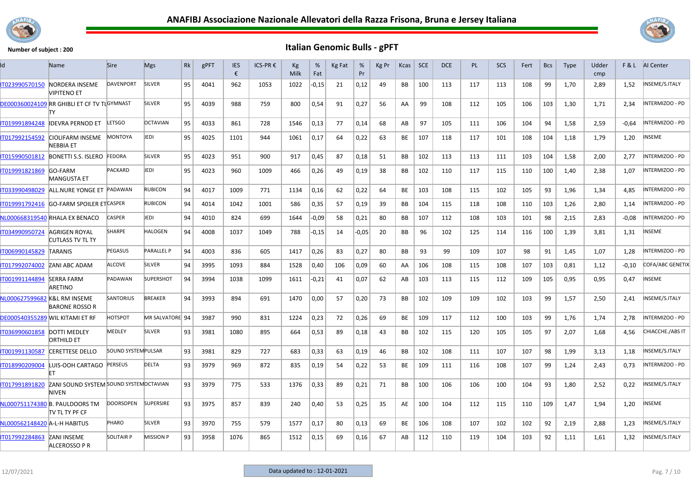



| ld                           | Name                                                    | <b>Sire</b>               | <b>Mgs</b>        | Rk | gPFT | <b>IES</b><br>€ | ICS-PR € | Кg<br>Milk | %<br>Fat | Kg Fat | %<br>Pr | Kg Pr | Kcas      | <b>SCE</b> | <b>DCE</b> | <b>PL</b> | SCS | Fert | <b>Bcs</b> | <b>Type</b> | Udder<br>cmp |         | <b>F&amp;L</b> AI Center |
|------------------------------|---------------------------------------------------------|---------------------------|-------------------|----|------|-----------------|----------|------------|----------|--------|---------|-------|-----------|------------|------------|-----------|-----|------|------------|-------------|--------------|---------|--------------------------|
| IT023990570150               | NORDERA INSEME<br><b>VIPITENO ET</b>                    | <b>DAVENPORT</b>          | SILVER            | 95 | 4041 | 962             | 1053     | 1022       | 0,15     | 21     | 0,12    | 49    | <b>BB</b> | 100        | 113        | 117       | 113 | 108  | 99         | 1,70        | 2,89         | 1,52    | INSEME/S.ITALY           |
|                              | DE000360024109 RR GHIBLI ET CF TV TLGYMNAST<br>TY       |                           | <b>SILVER</b>     | 95 | 4039 | 988             | 759      | 800        | 0,54     | 91     | 0,27    | 56    | AA        | 99         | 108        | 112       | 105 | 106  | 103        | 1,30        | 1,71         | 2,34    | INTERMIZOO - PD          |
| IT019991894248               | <b>IDEVRA PERNOD ET</b>                                 | LETSGO                    | <b>OCTAVIAN</b>   | 95 | 4033 | 861             | 728      | 1546       | 0,13     | 77     | 0,14    | 68    | AB        | 97         | 105        | 111       | 106 | 104  | 94         | 1,58        | 2,59         | $-0.64$ | INTERMIZOO - PD          |
| IT017992154592               | CIOLIFARM INSEME<br>NEBBIA ET                           | MONTOYA                   | JEDI              | 95 | 4025 | 1101            | 944      | 1061       | 0,17     | 64     | 0,22    | 63    | BE        | 107        | 118        | 117       | 101 | 108  | 104        | 1,18        | 1,79         | 1,20    | NSEME                    |
| IT015990501812               | BONETTI S.S. ISLERO FEDORA                              |                           | <b>SILVER</b>     | 95 | 4023 | 951             | 900      | 917        | 0,45     | 87     | 0,18    | 51    | BB        | 102        | 113        | 113       | 111 | 103  | 104        | 1,58        | 2,00         | 2,77    | INTERMIZOO - PD          |
| IT019991821869               | <b>GO-FARM</b><br><b>MANGUSTA ET</b>                    | <b>PACKARD</b>            | JEDI              | 95 | 4023 | 960             | 1009     | 466        | 0,26     | 49     | 0,19    | 38    | BB        | 102        | 110        | 117       | 115 | 110  | 100        | 1,40        | 2,38         | 1,07    | INTERMIZOO - PD          |
| IT033990498029               | ALL.NURE YONGE ET PADAWAN                               |                           | <b>RUBICON</b>    | 94 | 4017 | 1009            | 771      | 1134       | 0,16     | 62     | 0,22    | 64    | BE        | 103        | 108        | 115       | 102 | 105  | 93         | 1,96        | 1,34         | 4,85    | INTERMIZOO - PD          |
| T019991792416                | <b>GO-FARM SPOILER ETCASPER</b>                         |                           | <b>RUBICON</b>    | 94 | 4014 | 1042            | 1001     | 586        | 0,35     | 57     | 0,19    | 39    | <b>BB</b> | 104        | 115        | 118       | 108 | 110  | 103        | 1,26        | 2,80         | 1,14    | INTERMIZOO - PD          |
|                              | NL000668319540 RHALA EX BENACO                          | <b>CASPER</b>             | <b>EDI</b>        | 94 | 4010 | 824             | 699      | 1644       | -0,09    | 58     | 0,21    | 80    | BB        | 107        | 112        | 108       | 103 | 101  | 98         | 2,15        | 2,83         | $-0.08$ | INTERMIZOO - PD          |
| IT034990950724               | <b>AGRIGEN ROYAL</b><br>CUTLASS TV TL TY                | SHARPE                    | HALOGEN           | 94 | 4008 | 1037            | 1049     | 788        | $-0,15$  | 14     | $-0,05$ | 20    | BB        | 96         | 102        | 125       | 114 | 116  | 100        | 1,39        | 3,81         | 1,31    | INSEME                   |
| IT006990145829               | TARANIS                                                 | PEGASUS                   | <b>PARALLEL P</b> | 94 | 4003 | 836             | 605      | 1417       | 0,26     | 83     | 0,27    | 80    | BB        | 93         | 99         | 109       | 107 | 98   | 91         | 1,45        | 1,07         | 1,28    | NTERMIZOO - PD           |
| IT017992074002               | ZANI ABC ADAM                                           | ALCOVE                    | SILVER            | 94 | 3995 | 1093            | 884      | 1528       | 0,40     | 106    | 0,09    | 60    | AA        | 106        | 108        | 115       | 108 | 107  | 103        | 0,81        | 1,12         | $-0.10$ | COFA/ABC GENETIX         |
| IT001991144894               | <b>SERRA FARM</b><br>ARETINO                            | PADAWAN                   | <b>SUPERSHOT</b>  | 94 | 3994 | 1038            | 1099     | 1611       | -0,21    | 41     | 0,07    | 62    | AB        | 103        | 113        | 115       | 112 | 109  | 105        | 0,95        | 0,95         | 0,47    | INSEME                   |
| NL000627599682 K&L RM INSEME | <b>BARONE ROSSO R</b>                                   | <b>SANTORIUS</b>          | <b>BREAKER</b>    | 94 | 3993 | 894             | 691      | 1470       | 0,00     | 57     | 0,20    | 73    | <b>BB</b> | 102        | 109        | 109       | 102 | 103  | 99         | 1,57        | 2,50         | 2,41    | INSEME/S.ITALY           |
|                              | <b>DE000540355289 WIL KITAMI ET RF</b>                  | HOTSPOT                   | MR SALVATORE 94   |    | 3987 | 990             | 831      | 1224       | 0,23     | 72     | 0,26    | 69    | <b>BE</b> | 109        | 117        | 112       | 100 | 103  | 99         | 1,76        | 1,74         | 2,78    | INTERMIZOO - PD          |
| IT036990601858               | <b>DOTTI MEDLEY</b><br><b>ORTHILD ET</b>                | MEDLEY                    | SILVER            | 93 | 3981 | 1080            | 895      | 664        | 0,53     | 89     | 0,18    | 43    | <b>BB</b> | 102        | 115        | 120       | 105 | 105  | 97         | 2,07        | 1,68         | 4,56    | CHIACCHE./ABS IT         |
| IT001991130587               | <b>CERETTESE DELLO</b>                                  | <b>SOUND SYSTEMPULSAR</b> |                   | 93 | 3981 | 829             | 727      | 683        | 0,33     | 63     | 0,19    | 46    | BB        | 102        | 108        | 111       | 107 | 107  | 98         | 1,99        | 3,13         | 1,18    | INSEME/S.ITALY           |
| IT018990209004               | LUIS-OOH CARTAGO PERSEUS<br>FT                          |                           | <b>DELTA</b>      | 93 | 3979 | 969             | 872      | 835        | 0,19     | 54     | 0,22    | 53    | BE        | 109        | 111        | 116       | 108 | 107  | 99         | 1,24        | 2,43         | 0,73    | INTERMIZOO - PD          |
| IT017991891820               | ZANI SOUND SYSTEM SOUND SYSTEM OCTAVIAN<br><b>NIVEN</b> |                           |                   | 93 | 3979 | 775             | 533      | 1376       | 0,33     | 89     | 0,21    | 71    | <b>BB</b> | 100        | 106        | 106       | 100 | 104  | 93         | 1,80        | 2,52         | 0,22    | NSEME/S.ITALY            |
|                              | NL000751174380 B. PAULDOORS TM<br>itv tl ty pf Cf       | <b>DOORSOPEN</b>          | <b>SUPERSIRE</b>  | 93 | 3975 | 857             | 839      | 240        | 0,40     | 53     | 0,25    | 35    | AE        | 100        | 104        | 112       | 115 | 110  | 109        | 1,47        | 1,94         | 1,20    | INSEME                   |
| NL000562148420 A-L-H HABITUS |                                                         | <b>PHARO</b>              | SILVER            | 93 | 3970 | 755             | 579      | 1577       | 0,17     | 80     | 0,13    | 69    | BE        | 106        | 108        | 107       | 102 | 102  | 92         | 2,19        | 2,88         | 1,23    | INSEME/S.ITALY           |
| IT017992284863               | <b>ZANI INSEME</b><br>ALCEROSSO PR                      | <b>SOLITAIR P</b>         | <b>MISSION P</b>  | 93 | 3958 | 1076            | 865      | 1512       | 0,15     | 69     | 0,16    | 67    | AB        | 112        | 110        | 119       | 104 | 103  | 92         | 1,11        | 1,61         | 1,32    | INSEME/S.ITALY           |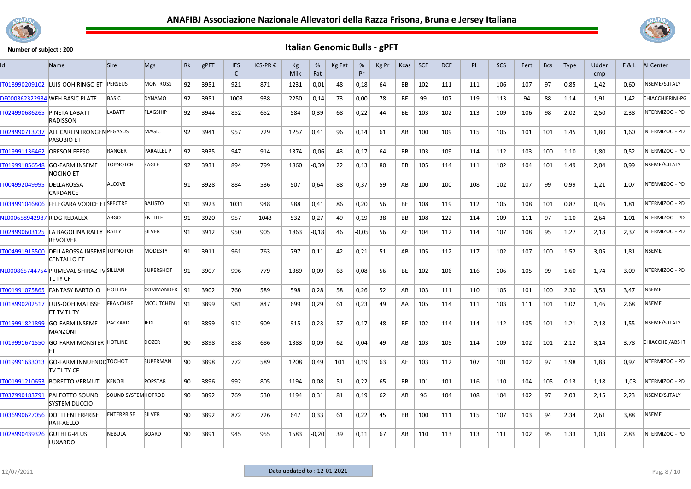



| ıd                          | <b>Name</b>                                               | <b>Sire</b>               | <b>Mgs</b>        | Rk | gPFT | <b>IES</b><br>€ | ICS-PR € | Кg<br>Milk | %<br>Fat | Kg Fat | %<br>Pr | Kg Pr | Kcas      | <b>SCE</b> | <b>DCE</b> | <b>PL</b> | <b>SCS</b> | Fert | <b>Bcs</b> | <b>Type</b> | Udder<br>cmp | F&L     | Al Center              |
|-----------------------------|-----------------------------------------------------------|---------------------------|-------------------|----|------|-----------------|----------|------------|----------|--------|---------|-------|-----------|------------|------------|-----------|------------|------|------------|-------------|--------------|---------|------------------------|
| IT018990209102              | LUIS-OOH RINGO ET PERSEUS                                 |                           | <b>MONTROSS</b>   | 92 | 3951 | 921             | 871      | 1231       | $-0,01$  | 48     | 0,18    | 64    | <b>BB</b> | 102        | 111        | 111       | 106        | 107  | 97         | 0,85        | 1,42         | 0,60    | INSEME/S.ITALY         |
|                             | <b>DE000362322934 WEH BASIC PLATE</b>                     | <b>BASIC</b>              | <b>DYNAMO</b>     | 92 | 3951 | 1003            | 938      | 2250       | -0,14    | 73     | 0,00    | 78    | BE        | 99         | 107        | 119       | 113        | 94   | 88         | 1,14        | 1,91         | 1,42    | CHIACCHIERINI-PG       |
| IT024990686265              | <b>PINETA LABATT</b><br>RADISSON                          | LABATT                    | <b>FLAGSHIP</b>   | 92 | 3944 | 852             | 652      | 584        | 0,39     | 68     | 0,22    | 44    | BE        | 103        | 102        | 113       | 109        | 106  | 98         | 2,02        | 2,50         | 2,38    | NTERMIZOO - PD         |
| IT024990713737              | <b>ALL.CARLIN IRONGEN PEGASUS</b><br><b>PASUBIO ET</b>    |                           | MAGIC             | 92 | 3941 | 957             | 729      | 1257       | 0,41     | 96     | 0,14    | 61    | AB        | 100        | 109        | 115       | 105        | 101  | 101        | 1,45        | 1,80         | 1,60    | NTERMIZOO - PD         |
| IT019991136462              | <b>ORESON EFESO</b>                                       | RANGER                    | <b>PARALLEL P</b> | 92 | 3935 | 947             | 914      | 1374       | -0,06    | 43     | 0,17    | 64    | BB        | 103        | 109        | 114       | 112        | 103  | 100        | 1,10        | 1,80         | 0,52    | NTERMIZOO - PD         |
| IT019991856548              | <b>GO-FARM INSEME</b><br>NOCINO ET                        | <b>TOPNOTCH</b>           | EAGLE             | 92 | 3931 | 894             | 799      | 1860       | -0,39    | 22     | 0,13    | 80    | BB.       | 105        | 114        | 111       | 102        | 104  | 101        | 1,49        | 2,04         | 0.99    | NSEME/S.ITALY          |
| IT004992049995              | DELLAROSSA<br>CARDANCE                                    | <b>ALCOVE</b>             |                   | 91 | 3928 | 884             | 536      | 507        | 0,64     | 88     | 0,37    | 59    | AB        | 100        | 100        | 108       | 102        | 107  | 99         | 0,99        | 1,21         | 1,07    | <b>INTERMIZOO - PD</b> |
| IT034991046806              | <b>FELEGARA VODICE ET SPECTRE</b>                         |                           | <b>BALISTO</b>    | 91 | 3923 | 1031            | 948      | 988        | 0,41     | 86     | 0,20    | 56    | <b>BE</b> | 108        | 119        | 112       | 105        | 108  | 101        | 0,87        | 0,46         | 1,81    | NTERMIZOO - PD         |
| NL000658942987 R DG REDALEX |                                                           | ARGO                      | <b>ENTITLE</b>    | 91 | 3920 | 957             | 1043     | 532        | 0,27     | 49     | 0,19    | 38    | <b>BB</b> | 108        | 122        | 114       | 109        | 111  | 97         | 1.10        | 2.64         | 1.01    | INTERMIZOO - PD        |
|                             | IT024990603125 LA BAGOLINA RALLY RALLY<br><b>REVOLVER</b> |                           | SILVER            | 91 | 3912 | 950             | 905      | 1863       | -0,18    | 46     | $-0.05$ | 56    | AE        | 104        | 112        | 114       | 107        | 108  | 95         | 1,27        | 2,18         | 2,37    | INTERMIZOO - PD        |
| 1004991915500               | <b>DELLAROSSA INSEME TOPNOTCH</b><br><b>CENTALLO ET</b>   |                           | <b>MODESTY</b>    | 91 | 3911 | 961             | 763      | 797        | 0,11     | 42     | 0,21    | 51    | AB        | 105        | 112        | 117       | 102        | 107  | 100        | 1,52        | 3,05         | 1,81    | <b>NSEME</b>           |
|                             | NL000865744754 PRIMEVAL SHIRAZ TV SILLIAN<br>TL TY CF     |                           | <b>SUPERSHOT</b>  | 91 | 3907 | 996             | 779      | 1389       | 0,09     | 63     | 0,08    | 56    | BE        | 102        | 106        | 116       | 106        | 105  | 99         | 1,60        | 1,74         | 3,09    | NTERMIZOO - PD         |
| IT001991075865              | <b>FANTASY BARTOLO</b>                                    | <b>HOTLINE</b>            | COMMANDER         | 91 | 3902 | 760             | 589      | 598        | 0,28     | 58     | 0,26    | 52    | AB        | 103        | 111        | 110       | 105        | 101  | 100        | 2.30        | 3,58         | 3,47    | <b>NSEME</b>           |
| IT018990202517              | LUIS-OOH MATISSE<br><b>ET TV TL TY</b>                    | FRANCHISE                 | <b>MCCUTCHEN</b>  | 91 | 3899 | 981             | 847      | 699        | 0,29     | 61     | 0,23    | 49    | AA        | 105        | 114        | 111       | 103        | 111  | 101        | 1,02        | 1,46         | 2,68    | <b>NSEME</b>           |
| T019991821899               | <b>GO-FARM INSEME</b><br>MANZONI                          | <b>PACKARD</b>            | JEDI              | 91 | 3899 | 912             | 909      | 915        | 0,23     | 57     | 0,17    | 48    | <b>BE</b> | 102        | 114        | 114       | 112        | 105  | 101        | 1,21        | 2,18         | 1,55    | NSEME/S.ITALY          |
| T019991671550               | <b>GO-FARM MONSTER HOTLINE</b><br>FT                      |                           | <b>DOZER</b>      | 90 | 3898 | 858             | 686      | 1383       | 0,09     | 62     | 0,04    | 49    | AB        | 103        | 105        | 114       | 109        | 102  | 101        | 2,12        | 3,14         | 3,78    | CHIACCHE./ABS IT       |
| T019991633013               | <b>GO-FARM INNUENDO TOOHOT</b><br>ITV TL TY CF            |                           | <b>SUPERMAN</b>   | 90 | 3898 | 772             | 589      | 1208       | 0,49     | 101    | 0,19    | 63    | AE        | 103        | 112        | 107       | 101        | 102  | 97         | 1,98        | 1,83         | 0.97    | INTERMIZOO - PD        |
| IT001991210653              | <b>BORETTO VERMUT</b>                                     | <b>KENOBI</b>             | <b>POPSTAR</b>    | 90 | 3896 | 992             | 805      | 1194       | 0,08     | 51     | 0,22    | 65    | <b>BB</b> | 101        | 101        | 116       | 110        | 104  | 105        | 0,13        | 1,18         | $-1.03$ | <b>INTERMIZOO - PD</b> |
| IT037990183791              | <b>PALEOTTO SOUND</b><br><b>SYSTEM DUCCIO</b>             | <b>SOUND SYSTEMHOTROD</b> |                   | 90 | 3892 | 769             | 530      | 1194       | 0,31     | 81     | 0,19    | 62    | AB        | 96         | 104        | 108       | 104        | 102  | 97         | 2,03        | 2,15         | 2,23    | INSEME/S.ITALY         |
| IT036990627056              | <b>DOTTI ENTERPRISE</b><br><b>RAFFAELLO</b>               | <b>ENTERPRISE</b>         | <b>SILVER</b>     | 90 | 3892 | 872             | 726      | 647        | 0,33     | 61     | 0,22    | 45    | <b>BB</b> | 100        | 111        | 115       | 107        | 103  | 94         | 2,34        | 2,61         | 3,88    | <b>NSEME</b>           |
| IT028990439326              | <b>GUTHI G-PLUS</b><br>LUXARDO                            | NEBULA                    | <b>BOARD</b>      | 90 | 3891 | 945             | 955      | 1583       | $-0,20$  | 39     | 0,11    | 67    | AB        | 110        | 113        | 113       | 111        | 102  | 95         | 1,33        | 1,03         | 2,83    | NTERMIZOO - PD         |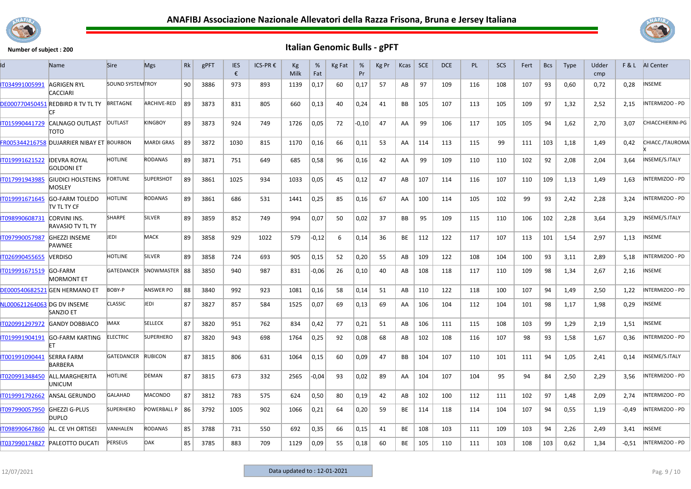



| ld                          | Name                                           | <b>Sire</b>              | <b>Mgs</b>        | Rk | gPFT | <b>IES</b><br>€ | ICS-PR € | Кg<br>Milk | %<br>Fat | Kg Fat | %<br>Pr | Kg Pr | Kcas      | <b>SCE</b> | <b>DCE</b> | <b>PL</b> | SCS | Fert | <b>Bcs</b> | <b>Type</b> | Udder<br>cmp | F&L     | AI Center        |
|-----------------------------|------------------------------------------------|--------------------------|-------------------|----|------|-----------------|----------|------------|----------|--------|---------|-------|-----------|------------|------------|-----------|-----|------|------------|-------------|--------------|---------|------------------|
| IT034991005991              | <b>AGRIGEN RYL</b><br><b>CACCIARI</b>          | <b>SOUND SYSTEM TROY</b> |                   | 90 | 3886 | 973             | 893      | 1139       | 0,17     | 60     | 0,17    | 57    | AB        | 97         | 109        | 116       | 108 | 107  | 93         | 0,60        | 0,72         | 0,28    | NSEME            |
|                             | DE000770450451 REDBIRD R TV TL TY<br>СF        | BRETAGNE                 | ARCHIVE-RED       | 89 | 3873 | 831             | 805      | 660        | 0,13     | 40     | 0,24    | 41    | BB        | 105        | 107        | 113       | 105 | 109  | 97         | 1,32        | 2,52         | 2,15    | INTERMIZOO - PD  |
| IT015990441729              | CALNAGO OUTLAST<br>τοτο                        | <b>OUTLAST</b>           | <b>KINGBOY</b>    | 89 | 3873 | 924             | 749      | 1726       | 0,05     | 72     | $-0,10$ | 47    | AA        | 99         | 106        | 117       | 105 | 105  | 94         | 1,62        | 2,70         | 3,07    | CHIACCHIERINI-PG |
|                             | FR005344216758 DUJARRIER NIBAY ET BOURBON      |                          | <b>MARDI GRAS</b> | 89 | 3872 | 1030            | 815      | 1170       | 0,16     | 66     | 0,11    | 53    | AA        | 114        | 113        | 115       | 99  | 111  | 103        | 1,18        | 1,49         | 0,42    | CHIACC./TAUROMA  |
| T019991621522               | <b>IDEVRA ROYAL</b><br><b>GOLDONI ET</b>       | <b>HOTLINE</b>           | <b>RODANAS</b>    | 89 | 3871 | 751             | 649      | 685        | 0,58     | 96     | 0,16    | 42    | AA        | 99         | 109        | 110       | 110 | 102  | 92         | 2,08        | 2,04         | 3,64    | INSEME/S.ITALY   |
| IT017991943985              | <b>GIUDICI HOLSTEINS</b><br>MOSLEY             | <b>FORTUNE</b>           | <b>SUPERSHOT</b>  | 89 | 3861 | 1025            | 934      | 1033       | 0,05     | 45     | 0,12    | 47    | AB        | 107        | 114        | 116       | 107 | 110  | 109        | 1,13        | 1,49         | 1,63    | INTERMIZOO - PD  |
| IT019991671645              | GO-FARM TOLEDO<br>tv tl ty cf                  | <b>HOTLINE</b>           | <b>RODANAS</b>    | 89 | 3861 | 686             | 531      | 1441       | 0,25     | 85     | 0,16    | 67    | AA        | 100        | 114        | 105       | 102 | 99   | 93         | 2,42        | 2,28         | 3,24    | INTERMIZOO - PD  |
| IT098990608731              | <b>CORVINI INS.</b><br><b>RAVASIO TV TL TY</b> | <b>SHARPE</b>            | SILVER            | 89 | 3859 | 852             | 749      | 994        | 0,07     | 50     | 0,02    | 37    | BB        | 95         | 109        | 115       | 110 | 106  | 102        | 2,28        | 3,64         | 3,29    | INSEME/S.ITALY   |
| IT097990057987              | <b>GHEZZI INSEME</b><br><b>PAWNEE</b>          | JEDI                     | MACK              | 89 | 3858 | 929             | 1022     | 579        | $-0,12$  | 6      | 0,14    | 36    | BE        | 112        | 122        | 117       | 107 | 113  | 101        | 1,54        | 2,97         | 1,13    | INSEME           |
| IT026990455655              | VERDISO                                        | <b>HOTLINE</b>           | SILVER            | 89 | 3858 | 724             | 693      | 905        | 0,15     | 52     | 0,20    | 55    | AB        | 109        | 122        | 108       | 104 | 100  | 93         | 3,11        | 2,89         | 5,18    | INTERMIZOO - PD  |
| IT019991671519              | GO-FARM<br><b>MORMONT ET</b>                   | GATEDANCER               | SNOWMASTER   88   |    | 3850 | 940             | 987      | 831        | -0,06    | 26     | 0,10    | 40    | AB        | 108        | 118        | 117       | 110 | 109  | 98         | 1,34        | 2,67         | 2,16    | NSEME            |
|                             | <b>DE000540682521 GEN HERMANO ET</b>           | BOBY-P                   | <b>ANSWER PO</b>  | 88 | 3840 | 992             | 923      | 1081       | 0,16     | 58     | 0,14    | 51    | AB        | 110        | 122        | 118       | 100 | 107  | 94         | 1,49        | 2,50         | 1,22    | INTERMIZOO - PD  |
| NL000621264063 DG DV INSEME | <b>SANZIO ET</b>                               | <b>CLASSIC</b>           | JEDI              | 87 | 3827 | 857             | 584      | 1525       | 0,07     | 69     | 0,13    | 69    | AA        | 106        | 104        | 112       | 104 | 101  | 98         | 1,17        | 1,98         | 0,29    | NSEME            |
| IT020991297972              | <b>GANDY DOBBIACO</b>                          | IMAX                     | <b>SELLECK</b>    | 87 | 3820 | 951             | 762      | 834        | 0,42     | 77     | 0,21    | 51    | AB        | 106        | 111        | 115       | 108 | 103  | 99         | 1,29        | 2,19         | 1,51    | NSEME            |
| IT019991904191              | GO-FARM KARTING<br>FT                          | <b>ELECTRIC</b>          | <b>SUPERHERO</b>  | 87 | 3820 | 943             | 698      | 1764       | 0,25     | 92     | 0,08    | 68    | AB        | 102        | 108        | 116       | 107 | 98   | 93         | 1,58        | 1,67         | 0,36    | NTERMIZOO - PD   |
| IT001991090441              | <b>SERRA FARM</b><br><b>BARBERA</b>            | GATEDANCER               | <b>RUBICON</b>    | 87 | 3815 | 806             | 631      | 1064       | 0,15     | 60     | 0,09    | 47    | BB        | 104        | 107        | 110       | 101 | 111  | 94         | 1,05        | 2,41         | 0,14    | INSEME/S.ITALY   |
| IT020991348450              | ALL.MARGHERITA<br>UNICUM                       | HOTLINE                  | DEMAN             | 87 | 3815 | 673             | 332      | 2565       | -0,04    | 93     | 0,02    | 89    | AA        | 104        | 107        | 104       | 95  | 94   | 84         | 2,50        | 2,29         | 3,56    | NTERMIZOO - PD   |
| IT019991792662              | ANSAL GERUNDO                                  | <b>GALAHAD</b>           | <b>MACONDO</b>    | 87 | 3812 | 783             | 575      | 624        | 0,50     | 80     | 0,19    | 42    | AB        | 102        | 100        | 112       | 111 | 102  | 97         | 1,48        | 2,09         | 2,74    | INTERMIZOO - PD  |
| IT097990057950              | <b>GHEZZI G-PLUS</b><br><b>DUPLO</b>           | <b>SUPERHERO</b>         | POWERBALL P   86  |    | 3792 | 1005            | 902      | 1066       | 0,21     | 64     | 0,20    | 59    | <b>BE</b> | 114        | 118        | 114       | 104 | 107  | 94         | 0,55        | 1,19         | -0,49   | INTERMIZOO - PD  |
| IT098990647860              | AL. CE VH ORTISEI                              | VANHALEN                 | <b>RODANAS</b>    | 85 | 3788 | 731             | 550      | 692        | 0,35     | 66     | 0,15    | 41    | BE        | 108        | 103        | 111       | 109 | 103  | 94         | 2,26        | 2,49         | 3,41    | INSEME           |
| IT037990174827              | <b>PALEOTTO DUCATI</b>                         | <b>PERSEUS</b>           | <b>DAK</b>        | 85 | 3785 | 883             | 709      | 1129       | 0,09     | 55     | 0,18    | 60    | BE        | 105        | 110        | 111       | 103 | 108  | 103        | 0,62        | 1,34         | $-0,51$ | INTERMIZOO - PD  |